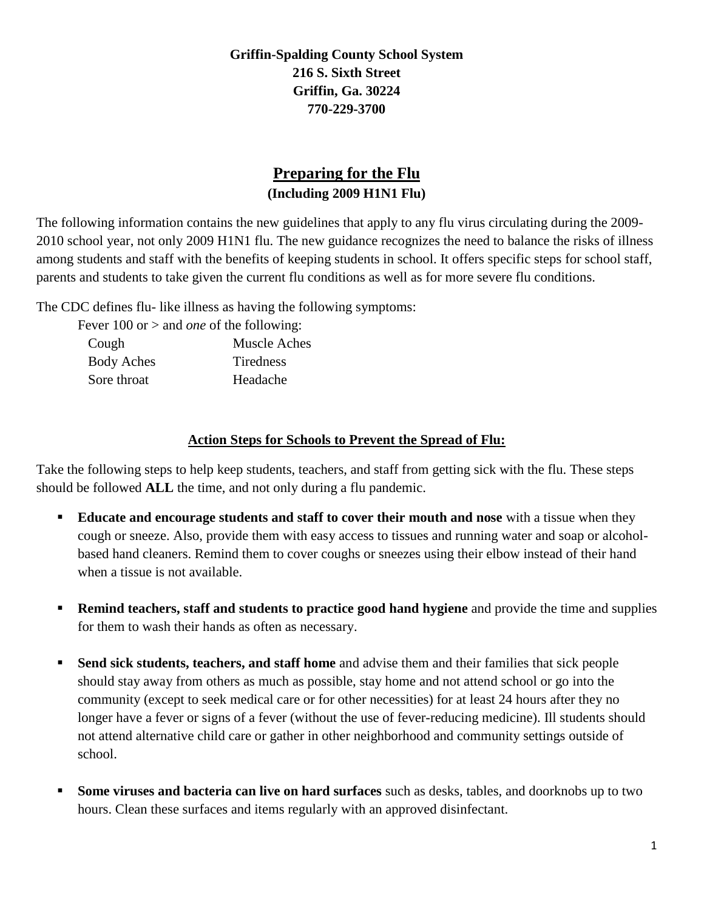**Griffin-Spalding County School System 216 S. Sixth Street Griffin, Ga. 30224 770-229-3700**

## **Preparing for the Flu (Including 2009 H1N1 Flu)**

The following information contains the new guidelines that apply to any flu virus circulating during the 2009- 2010 school year, not only 2009 H1N1 flu. The new guidance recognizes the need to balance the risks of illness among students and staff with the benefits of keeping students in school. It offers specific steps for school staff, parents and students to take given the current flu conditions as well as for more severe flu conditions.

The CDC defines flu- like illness as having the following symptoms:

| Fever 100 or $>$ and <i>one</i> of the following: |                  |
|---------------------------------------------------|------------------|
| Cough                                             | Muscle Aches     |
| <b>Body Aches</b>                                 | <b>Tiredness</b> |
| Sore throat                                       | Headache         |

## **Action Steps for Schools to Prevent the Spread of Flu:**

Take the following steps to help keep students, teachers, and staff from getting sick with the flu. These steps should be followed **ALL** the time, and not only during a flu pandemic.

- **Educate and encourage students and staff to cover their mouth and nose** with a tissue when they cough or sneeze. Also, provide them with easy access to tissues and running water and soap or alcoholbased hand cleaners. Remind them to cover coughs or sneezes using their elbow instead of their hand when a tissue is not available.
- **Remind teachers, staff and students to practice good hand hygiene** and provide the time and supplies for them to wash their hands as often as necessary.
- **Send sick students, teachers, and staff home** and advise them and their families that sick people should stay away from others as much as possible, stay home and not attend school or go into the community (except to seek medical care or for other necessities) for at least 24 hours after they no longer have a fever or signs of a fever (without the use of fever-reducing medicine). Ill students should not attend alternative child care or gather in other neighborhood and community settings outside of school.
- **Some viruses and bacteria can live on hard surfaces** such as desks, tables, and doorknobs up to two hours. Clean these surfaces and items regularly with an approved disinfectant.